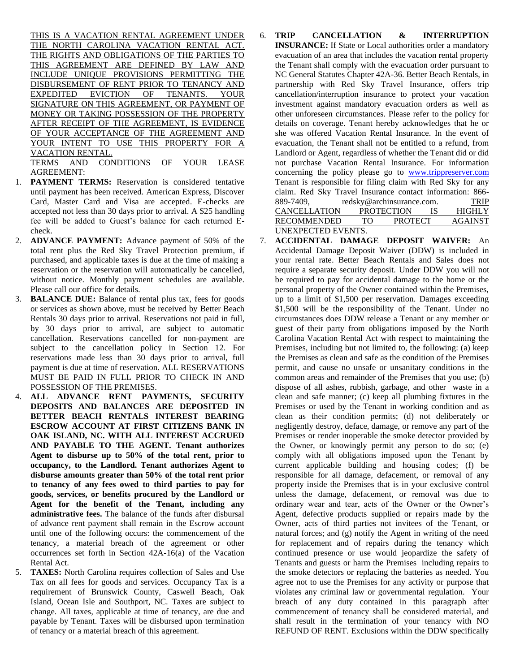THIS IS A VACATION RENTAL AGREEMENT UNDER THE NORTH CAROLINA VACATION RENTAL ACT. THE RIGHTS AND OBLIGATIONS OF THE PARTIES TO THIS AGREEMENT ARE DEFINED BY LAW AND INCLUDE UNIQUE PROVISIONS PERMITTING THE DISBURSEMENT OF RENT PRIOR TO TENANCY AND EXPEDITED EVICTION OF TENANTS. YOUR SIGNATURE ON THIS AGREEMENT, OR PAYMENT OF MONEY OR TAKING POSSESSION OF THE PROPERTY AFTER RECEIPT OF THE AGREEMENT, IS EVIDENCE OF YOUR ACCEPTANCE OF THE AGREEMENT AND YOUR INTENT TO USE THIS PROPERTY FOR A VACATION RENTAL.

TERMS AND CONDITIONS OF YOUR LEASE AGREEMENT:

- 1. **PAYMENT TERMS:** Reservation is considered tentative until payment has been received. American Express, Discover Card, Master Card and Visa are accepted. E-checks are accepted not less than 30 days prior to arrival. A \$25 handling fee will be added to Guest's balance for each returned Echeck.
- 2. **ADVANCE PAYMENT:** Advance payment of 50% of the total rent plus the Red Sky Travel Protection premium, if purchased, and applicable taxes is due at the time of making a reservation or the reservation will automatically be cancelled, without notice. Monthly payment schedules are available. Please call our office for details.
- 3. **BALANCE DUE:** Balance of rental plus tax, fees for goods or services as shown above, must be received by Better Beach Rentals 30 days prior to arrival. Reservations not paid in full, by 30 days prior to arrival, are subject to automatic cancellation. Reservations cancelled for non-payment are subject to the cancellation policy in Section 12. For reservations made less than 30 days prior to arrival, full payment is due at time of reservation. ALL RESERVATIONS MUST BE PAID IN FULL PRIOR TO CHECK IN AND POSSESSION OF THE PREMISES.
- 4. **ALL ADVANCE RENT PAYMENTS, SECURITY DEPOSITS AND BALANCES ARE DEPOSITED IN BETTER BEACH RENTALS INTEREST BEARING ESCROW ACCOUNT AT FIRST CITIZENS BANK IN OAK ISLAND, NC. WITH ALL INTEREST ACCRUED AND PAYABLE TO THE AGENT. Tenant authorizes Agent to disburse up to 50% of the total rent, prior to occupancy, to the Landlord. Tenant authorizes Agent to disburse amounts greater than 50% of the total rent prior to tenancy of any fees owed to third parties to pay for goods, services, or benefits procured by the Landlord or Agent for the benefit of the Tenant, including any administrative fees.** The balance of the funds after disbursal of advance rent payment shall remain in the Escrow account until one of the following occurs: the commencement of the tenancy, a material breach of the agreement or other occurrences set forth in Section 42A-16(a) of the Vacation Rental Act.
- 5. **TAXES:** North Carolina requires collection of Sales and Use Tax on all fees for goods and services. Occupancy Tax is a requirement of Brunswick County, Caswell Beach, Oak Island, Ocean Isle and Southport, NC. Taxes are subject to change. All taxes, applicable at time of tenancy, are due and payable by Tenant. Taxes will be disbursed upon termination of tenancy or a material breach of this agreement.
- 6. **TRIP CANCELLATION & INTERRUPTION INSURANCE:** If State or Local authorities order a mandatory evacuation of an area that includes the vacation rental property the Tenant shall comply with the evacuation order pursuant to NC General Statutes Chapter 42A-36. Better Beach Rentals, in partnership with Red Sky Travel Insurance, offers trip cancellation/interruption insurance to protect your vacation investment against mandatory evacuation orders as well as other unforeseen circumstances. Please refer to the policy for details on coverage. Tenant hereby acknowledges that he or she was offered Vacation Rental Insurance. In the event of evacuation, the Tenant shall not be entitled to a refund, from Landlord or Agent, regardless of whether the Tenant did or did not purchase Vacation Rental Insurance. For information concerning the policy please go to [www.trippreserver.com](http://www.trippreserver.com/) Tenant is responsible for filing claim with Red Sky for any claim. Red Sky Travel Insurance contact information: 866- 889-7409, redsky@archinsurance.com. TRIP CANCELLATION PROTECTION IS HIGHLY RECOMMENDED TO PROTECT AGAINST UNEXPECTED EVENTS.
- 7. **ACCIDENTAL DAMAGE DEPOSIT WAIVER:** An Accidental Damage Deposit Waiver (DDW) is included in your rental rate. Better Beach Rentals and Sales does not require a separate security deposit. Under DDW you will not be required to pay for accidental damage to the home or the personal property of the Owner contained within the Premises, up to a limit of \$1,500 per reservation. Damages exceeding \$1,500 will be the responsibility of the Tenant. Under no circumstances does DDW release a Tenant or any member or guest of their party from obligations imposed by the North Carolina Vacation Rental Act with respect to maintaining the Premises, including but not limited to, the following: (a) keep the Premises as clean and safe as the condition of the Premises permit, and cause no unsafe or unsanitary conditions in the common areas and remainder of the Premises that you use; (b) dispose of all ashes, rubbish, garbage, and other waste in a clean and safe manner; (c) keep all plumbing fixtures in the Premises or used by the Tenant in working condition and as clean as their condition permits; (d) not deliberately or negligently destroy, deface, damage, or remove any part of the Premises or render inoperable the smoke detector provided by the Owner, or knowingly permit any person to do so; (e) comply with all obligations imposed upon the Tenant by current applicable building and housing codes; (f) be responsible for all damage, defacement, or removal of any property inside the Premises that is in your exclusive control unless the damage, defacement, or removal was due to ordinary wear and tear, acts of the Owner or the Owner's Agent, defective products supplied or repairs made by the Owner, acts of third parties not invitees of the Tenant, or natural forces; and (g) notify the Agent in writing of the need for replacement and of repairs during the tenancy which continued presence or use would jeopardize the safety of Tenants and guests or harm the Premises including repairs to the smoke detectors or replacing the batteries as needed. You agree not to use the Premises for any activity or purpose that violates any criminal law or governmental regulation. Your breach of any duty contained in this paragraph after commencement of tenancy shall be considered material, and shall result in the termination of your tenancy with NO REFUND OF RENT. Exclusions within the DDW specifically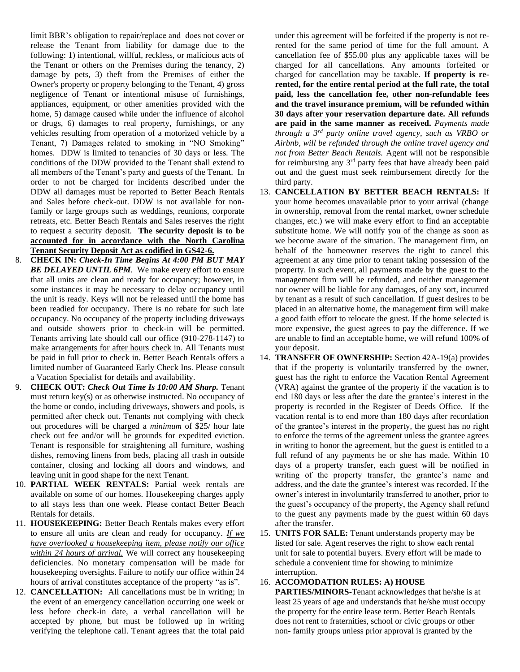limit BBR's obligation to repair/replace and does not cover or release the Tenant from liability for damage due to the following: 1) intentional, willful, reckless, or malicious acts of the Tenant or others on the Premises during the tenancy, 2) damage by pets, 3) theft from the Premises of either the Owner's property or property belonging to the Tenant, 4) gross negligence of Tenant or intentional misuse of furnishings, appliances, equipment, or other amenities provided with the home, 5) damage caused while under the influence of alcohol or drugs, 6) damages to real property, furnishings, or any vehicles resulting from operation of a motorized vehicle by a Tenant, 7) Damages related to smoking in "NO Smoking" homes. DDW is limited to tenancies of 30 days or less. The conditions of the DDW provided to the Tenant shall extend to all members of the Tenant's party and guests of the Tenant. In order to not be charged for incidents described under the DDW all damages must be reported to Better Beach Rentals and Sales before check-out. DDW is not available for nonfamily or large groups such as weddings, reunions, corporate retreats, etc. Better Beach Rentals and Sales reserves the right to request a security deposit. **The security deposit is to be accounted for in accordance with the North Carolina Tenant Security Deposit Act as codified in GS42-6.**

- 8. **CHECK IN:** *Check-In Time Begins At 4:00 PM BUT MAY BE DELAYED UNTIL 6PM.* We make every effort to ensure that all units are clean and ready for occupancy; however, in some instances it may be necessary to delay occupancy until the unit is ready. Keys will not be released until the home has been readied for occupancy. There is no rebate for such late occupancy. No occupancy of the property including driveways and outside showers prior to check-in will be permitted. Tenants arriving late should call our office (910-278-1147) to make arrangements for after hours check in. All Tenants must be paid in full prior to check in. Better Beach Rentals offers a limited number of Guaranteed Early Check Ins. Please consult a Vacation Specialist for details and availability.
- 9. **CHECK OUT:** *Check Out Time Is 10:00 AM Sharp.* Tenant must return key(s) or as otherwise instructed. No occupancy of the home or condo, including driveways, showers and pools, is permitted after check out. Tenants not complying with check out procedures will be charged a *minimum* of \$25/ hour late check out fee and/or will be grounds for expedited eviction. Tenant is responsible for straightening all furniture, washing dishes, removing linens from beds, placing all trash in outside container, closing and locking all doors and windows, and leaving unit in good shape for the next Tenant.
- 10. **PARTIAL WEEK RENTALS:** Partial week rentals are available on some of our homes. Housekeeping charges apply to all stays less than one week. Please contact Better Beach Rentals for details.
- 11. **HOUSEKEEPING:** Better Beach Rentals makes every effort to ensure all units are clean and ready for occupancy. *If we have overlooked a housekeeping item, please notify our office within 24 hours of arrival.* We will correct any housekeeping deficiencies. No monetary compensation will be made for housekeeping oversights. Failure to notify our office within 24 hours of arrival constitutes acceptance of the property "as is".
- 12. **CANCELLATION:** All cancellations must be in writing; in the event of an emergency cancellation occurring one week or less before check-in date, a verbal cancellation will be accepted by phone, but must be followed up in writing verifying the telephone call. Tenant agrees that the total paid

under this agreement will be forfeited if the property is not rerented for the same period of time for the full amount. A cancellation fee of \$55.00 plus any applicable taxes will be charged for all cancellations. Any amounts forfeited or charged for cancellation may be taxable. **If property is rerented, for the entire rental period at the full rate, the total paid, less the cancellation fee, other non-refundable fees and the travel insurance premium, will be refunded within 30 days after your reservation departure date. All refunds are paid in the same manner as received.** *Payments made through a 3rd party online travel agency, such as VRBO or Airbnb, will be refunded through the online travel agency and not from Better Beach Rentals.* Agent will not be responsible for reimbursing any  $3<sup>rd</sup>$  party fees that have already been paid out and the guest must seek reimbursement directly for the third party.

- 13. **CANCELLATION BY BETTER BEACH RENTALS:** If your home becomes unavailable prior to your arrival (change in ownership, removal from the rental market, owner schedule changes, etc.) we will make every effort to find an acceptable substitute home. We will notify you of the change as soon as we become aware of the situation. The management firm, on behalf of the homeowner reserves the right to cancel this agreement at any time prior to tenant taking possession of the property. In such event, all payments made by the guest to the management firm will be refunded, and neither management nor owner will be liable for any damages, of any sort, incurred by tenant as a result of such cancellation. If guest desires to be placed in an alternative home, the management firm will make a good faith effort to relocate the guest. If the home selected is more expensive, the guest agrees to pay the difference. If we are unable to find an acceptable home, we will refund 100% of your deposit.
- 14. **TRANSFER OF OWNERSHIP:** Section 42A-19(a) provides that if the property is voluntarily transferred by the owner, guest has the right to enforce the Vacation Rental Agreement (VRA) against the grantee of the property if the vacation is to end 180 days or less after the date the grantee's interest in the property is recorded in the Register of Deeds Office. If the vacation rental is to end more than 180 days after recordation of the grantee's interest in the property, the guest has no right to enforce the terms of the agreement unless the grantee agrees in writing to honor the agreement, but the guest is entitled to a full refund of any payments he or she has made. Within 10 days of a property transfer, each guest will be notified in writing of the property transfer, the grantee's name and address, and the date the grantee's interest was recorded. If the owner's interest in involuntarily transferred to another, prior to the guest's occupancy of the property, the Agency shall refund to the guest any payments made by the guest within 60 days after the transfer.
- 15. **UNITS FOR SALE:** Tenant understands property may be listed for sale. Agent reserves the right to show each rental unit for sale to potential buyers. Every effort will be made to schedule a convenient time for showing to minimize interruption.

## 16. **ACCOMODATION RULES: A) HOUSE**

**PARTIES/MINORS**-Tenant acknowledges that he/she is at least 25 years of age and understands that he/she must occupy the property for the entire lease term. Better Beach Rentals does not rent to fraternities, school or civic groups or other non- family groups unless prior approval is granted by the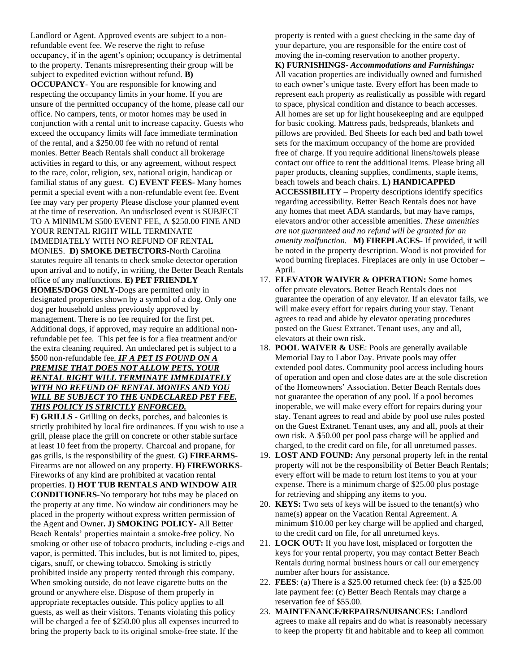Landlord or Agent. Approved events are subject to a nonrefundable event fee. We reserve the right to refuse occupancy, if in the agent's opinion; occupancy is detrimental to the property. Tenants misrepresenting their group will be subject to expedited eviction without refund. **B) OCCUPANCY**- You are responsible for knowing and respecting the occupancy limits in your home. If you are unsure of the permitted occupancy of the home, please call our office. No campers, tents, or motor homes may be used in conjunction with a rental unit to increase capacity. Guests who exceed the occupancy limits will face immediate termination of the rental, and a \$250.00 fee with no refund of rental monies. Better Beach Rentals shall conduct all brokerage activities in regard to this, or any agreement, without respect to the race, color, religion, sex, national origin, handicap or familial status of any guest. **C) EVENT FEES-** Many homes permit a special event with a non-refundable event fee. Event fee may vary per property Please disclose your planned event at the time of reservation. An undisclosed event is SUBJECT TO A MINIMUM \$500 EVENT FEE, A \$250.00 FINE AND YOUR RENTAL RIGHT WILL TERMINATE IMMEDIATELY WITH NO REFUND OF RENTAL MONIES. **D) SMOKE DETECTORS**-North Carolina statutes require all tenants to check smoke detector operation upon arrival and to notify, in writing, the Better Beach Rentals office of any malfunctions. **E) PET FRIENDLY** 

**HOMES/DOGS ONLY**-Dogs are permitted only in designated properties shown by a symbol of a dog. Only one dog per household unless previously approved by management. There is no fee required for the first pet. Additional dogs, if approved, may require an additional nonrefundable pet fee. This pet fee is for a flea treatment and/or the extra cleaning required. An undeclared pet is subject to a \$500 non-refundable fee*. IF A PET IS FOUND ON A* 

## *PREMISE THAT DOES NOT ALLOW PETS, YOUR RENTAL RIGHT WILL TERMINATE IMMEDIATELY WITH NO REFUND OF RENTAL MONIES AND YOU WILL BE SUBJECT TO THE UNDECLARED PET FEE. THIS POLICY IS STRICTLY ENFORCED.*

**F) GRILLS** - Grilling on decks, porches, and balconies is strictly prohibited by local fire ordinances. If you wish to use a grill, please place the grill on concrete or other stable surface at least 10 feet from the property. Charcoal and propane, for gas grills, is the responsibility of the guest. **G) FIREARMS**-Firearms are not allowed on any property. **H) FIREWORKS**-Fireworks of any kind are prohibited at vacation rental properties. **I) HOT TUB RENTALS AND WINDOW AIR CONDITIONERS**-No temporary hot tubs may be placed on the property at any time. No window air conditioners may be placed in the property without express written permission of the Agent and Owner**. J) SMOKING POLICY-** All Better Beach Rentals' properties maintain a smoke-free policy. No smoking or other use of tobacco products, including e-cigs and vapor, is permitted. This includes, but is not limited to, pipes, cigars, snuff, or chewing tobacco. Smoking is strictly prohibited inside any property rented through this company. When smoking outside, do not leave cigarette butts on the ground or anywhere else. Dispose of them properly in appropriate receptacles outside. This policy applies to all guests, as well as their visitors. Tenants violating this policy will be charged a fee of \$250.00 plus all expenses incurred to bring the property back to its original smoke-free state. If the

property is rented with a guest checking in the same day of your departure, you are responsible for the entire cost of moving the in-coming reservation to another property.

**K) FURNISHINGS**- *Accommodations and Furnishings:* All vacation properties are individually owned and furnished to each owner's unique taste. Every effort has been made to represent each property as realistically as possible with regard to space, physical condition and distance to beach accesses. All homes are set up for light housekeeping and are equipped for basic cooking. Mattress pads, bedspreads, blankets and pillows are provided. Bed Sheets for each bed and bath towel sets for the maximum occupancy of the home are provided free of charge. If you require additional linens/towels please contact our office to rent the additional items. Please bring all paper products, cleaning supplies, condiments, staple items, beach towels and beach chairs. **L) HANDICAPPED ACCESSIBILITY** – Property descriptions identify specifics regarding accessibility. Better Beach Rentals does not have any homes that meet ADA standards, but may have ramps, elevators and/or other accessible amenities. *These amenities are not guaranteed and no refund will be granted for an amenity malfunction.* **M) FIREPLACES**- If provided, it will be noted in the property description. Wood is not provided for wood burning fireplaces. Fireplaces are only in use October – April.

- 17. **ELEVATOR WAIVER & OPERATION:** Some homes offer private elevators. Better Beach Rentals does not guarantee the operation of any elevator. If an elevator fails, we will make every effort for repairs during your stay. Tenant agrees to read and abide by elevator operating procedures posted on the Guest Extranet. Tenant uses, any and all, elevators at their own risk.
- 18. **POOL WAIVER & USE**: Pools are generally available Memorial Day to Labor Day. Private pools may offer extended pool dates. Community pool access including hours of operation and open and close dates are at the sole discretion of the Homeowners' Association. Better Beach Rentals does not guarantee the operation of any pool. If a pool becomes inoperable, we will make every effort for repairs during your stay. Tenant agrees to read and abide by pool use rules posted on the Guest Extranet. Tenant uses, any and all, pools at their own risk. A \$50.00 per pool pass charge will be applied and charged, to the credit card on file, for all unreturned passes.
- 19. **LOST AND FOUND:** Any personal property left in the rental property will not be the responsibility of Better Beach Rentals; every effort will be made to return lost items to you at your expense. There is a minimum charge of \$25.00 plus postage for retrieving and shipping any items to you.
- 20. **KEYS:** Two sets of keys will be issued to the tenant(s) who name(s) appear on the Vacation Rental Agreement. A minimum \$10.00 per key charge will be applied and charged, to the credit card on file, for all unreturned keys.
- 21. **LOCK OUT:** If you have lost, misplaced or forgotten the keys for your rental property, you may contact Better Beach Rentals during normal business hours or call our emergency number after hours for assistance.
- 22. **FEES**: (a) There is a \$25.00 returned check fee: (b) a \$25.00 late payment fee: (c) Better Beach Rentals may charge a reservation fee of \$55.00.
- 23. **MAINTENANCE/REPAIRS/NUISANCES:** Landlord agrees to make all repairs and do what is reasonably necessary to keep the property fit and habitable and to keep all common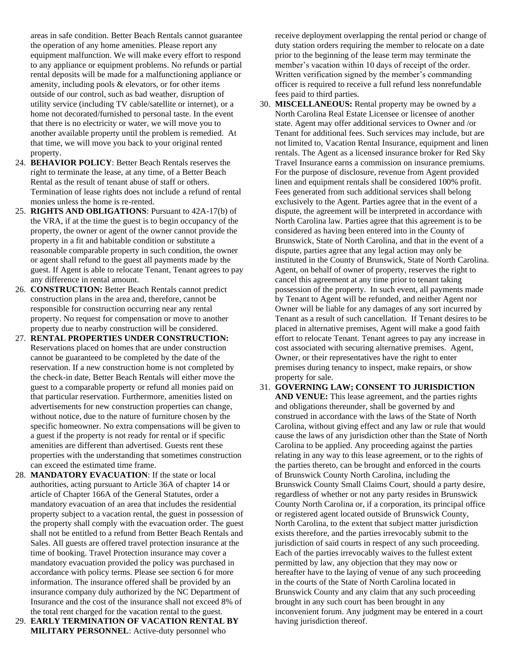areas in safe condition. Better Beach Rentals cannot guarantee the operation of any home amenities. Please report any equipment malfunction. We will make every effort to respond to any appliance or equipment problems. No refunds or partial rental deposits will be made for a malfunctioning appliance or amenity, including pools & elevators, or for other items outside of our control, such as bad weather, disruption of utility service (including TV cable/satellite or internet), or a home not decorated/furnished to personal taste. In the event that there is no electricity or water, we will move you to another available property until the problem is remedied. At that time, we will move you back to your original rented property.

- 24. **BEHAVIOR POLICY**: Better Beach Rentals reserves the right to terminate the lease, at any time, of a Better Beach Rental as the result of tenant abuse of staff or others. Termination of lease rights does not include a refund of rental monies unless the home is re-rented.
- 25. **RIGHTS AND OBLIGATIONS**: Pursuant to 42A-17(b) of the VRA, if at the time the guest is to begin occupancy of the property, the owner or agent of the owner cannot provide the property in a fit and habitable condition or substitute a reasonable comparable property in such condition, the owner or agent shall refund to the guest all payments made by the guest. If Agent is able to relocate Tenant, Tenant agrees to pay any difference in rental amount.
- 26. **CONSTRUCTION:** Better Beach Rentals cannot predict construction plans in the area and, therefore, cannot be responsible for construction occurring near any rental property. No request for compensation or move to another property due to nearby construction will be considered.
- 27. **RENTAL PROPERTIES UNDER CONSTRUCTION:**  Reservations placed on homes that are under construction cannot be guaranteed to be completed by the date of the reservation. If a new construction home is not completed by the check-in date, Better Beach Rentals will either move the guest to a comparable property or refund all monies paid on that particular reservation. Furthermore, amenities listed on advertisements for new construction properties can change, without notice, due to the nature of furniture chosen by the specific homeowner. No extra compensations will be given to a guest if the property is not ready for rental or if specific amenities are different than advertised. Guests rent these properties with the understanding that sometimes construction can exceed the estimated time frame.
- 28. **MANDATORY EVACUATION**: If the state or local authorities, acting pursuant to Article 36A of chapter 14 or article of Chapter 166A of the General Statutes, order a mandatory evacuation of an area that includes the residential property subject to a vacation rental, the guest in possession of the property shall comply with the evacuation order. The guest shall not be entitled to a refund from Better Beach Rentals and Sales. All guests are offered travel protection insurance at the time of booking. Travel Protection insurance may cover a mandatory evacuation provided the policy was purchased in accordance with policy terms. Please see section 6 for more information. The insurance offered shall be provided by an insurance company duly authorized by the NC Department of Insurance and the cost of the insurance shall not exceed 8% of the total rent charged for the vacation rental to the guest.
- 29. **EARLY TERMINATION OF VACATION RENTAL BY MILITARY PERSONNEL**: Active-duty personnel who

receive deployment overlapping the rental period or change of duty station orders requiring the member to relocate on a date prior to the beginning of the lease term may terminate the member's vacation within 10 days of receipt of the order. Written verification signed by the member's commanding officer is required to receive a full refund less nonrefundable fees paid to third parties.

- 30. **MISCELLANEOUS:** Rental property may be owned by a North Carolina Real Estate Licensee or licensee of another state. Agent may offer additional services to Owner and /or Tenant for additional fees. Such services may include, but are not limited to, Vacation Rental Insurance, equipment and linen rentals. The Agent as a licensed insurance broker for Red Sky Travel Insurance earns a commission on insurance premiums. For the purpose of disclosure, revenue from Agent provided linen and equipment rentals shall be considered 100% profit. Fees generated from such additional services shall belong exclusively to the Agent. Parties agree that in the event of a dispute, the agreement will be interpreted in accordance with North Carolina law. Parties agree that this agreement is to be considered as having been entered into in the County of Brunswick, State of North Carolina, and that in the event of a dispute, parties agree that any legal action may only be instituted in the County of Brunswick, State of North Carolina. Agent, on behalf of owner of property, reserves the right to cancel this agreement at any time prior to tenant taking possession of the property. In such event, all payments made by Tenant to Agent will be refunded, and neither Agent nor Owner will be liable for any damages of any sort incurred by Tenant as a result of such cancellation. If Tenant desires to be placed in alternative premises, Agent will make a good faith effort to relocate Tenant. Tenant agrees to pay any increase in cost associated with securing alternative premises. Agent, Owner, or their representatives have the right to enter premises during tenancy to inspect, make repairs, or show property for sale.
- 31. **GOVERNING LAW; CONSENT TO JURISDICTION AND VENUE:** This lease agreement, and the parties rights and obligations thereunder, shall be governed by and construed in accordance with the laws of the State of North Carolina, without giving effect and any law or rule that would cause the laws of any jurisdiction other than the State of North Carolina to be applied. Any proceeding against the parties relating in any way to this lease agreement, or to the rights of the parties thereto, can be brought and enforced in the courts of Brunswick County North Carolina, including the Brunswick County Small Claims Court, should a party desire, regardless of whether or not any party resides in Brunswick County North Carolina or, if a corporation, its principal office or registered agent located outside of Brunswick County, North Carolina, to the extent that subject matter jurisdiction exists therefore, and the parties irrevocably submit to the jurisdiction of said courts in respect of any such proceeding. Each of the parties irrevocably waives to the fullest extent permitted by law, any objection that they may now or hereafter have to the laying of venue of any such proceeding in the courts of the State of North Carolina located in Brunswick County and any claim that any such proceeding brought in any such court has been brought in any inconvenient forum. Any judgment may be entered in a court having jurisdiction thereof.